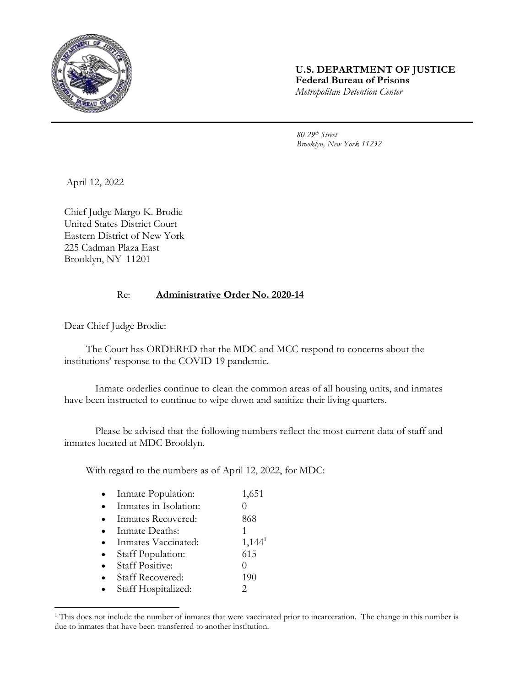

## **U.S. DEPARTMENT OF JUSTICE Federal Bureau of Prisons** *Metropolitan Detention Center*

*80 29th Street Brooklyn, New York 11232*

April 12, 2022

Chief Judge Margo K. Brodie United States District Court Eastern District of New York 225 Cadman Plaza East Brooklyn, NY 11201

## Re: **Administrative Order No. 2020-14**

Dear Chief Judge Brodie:

The Court has ORDERED that the MDC and MCC respond to concerns about the institutions' response to the COVID-19 pandemic.

Inmate orderlies continue to clean the common areas of all housing units, and inmates have been instructed to continue to wipe down and sanitize their living quarters.

Please be advised that the following numbers reflect the most current data of staff and inmates located at MDC Brooklyn.

With regard to the numbers as of April 12, 2022, for MDC:

| Inmate Population:      | 1,651              |
|-------------------------|--------------------|
| Inmates in Isolation:   |                    |
| Inmates Recovered:      | 868                |
| Inmate Deaths:          |                    |
| Inmates Vaccinated:     | 1,144 <sup>1</sup> |
| Staff Population:       | 615                |
| <b>Staff Positive:</b>  |                    |
| <b>Staff Recovered:</b> | 190                |
| Staff Hospitalized:     |                    |

<sup>&</sup>lt;sup>1</sup> This does not include the number of inmates that were vaccinated prior to incarceration. The change in this number is due to inmates that have been transferred to another institution.